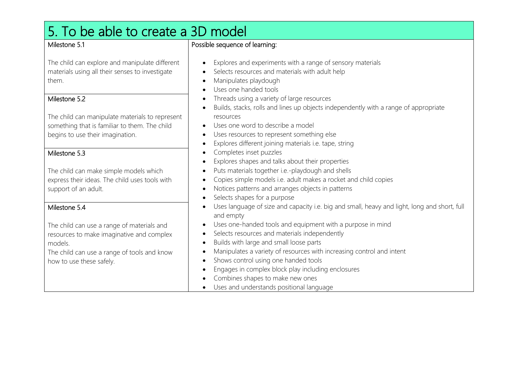## 5. To be able to create a 3D model Milestone 5.1 The child can explore and manipulate different materials using all their senses to investigate them. Possible sequence of learning: Explores and experiments with a range of sensory materials Selects resources and materials with adult help • Manipulates playdough Uses one handed tools Threads using a variety of large resources Builds, stacks, rolls and lines up objects independently with a range of appropriate resources Uses one word to describe a model Uses resources to represent something else Explores different joining materials i.e. tape, string Completes inset puzzles Explores shapes and talks about their properties Puts materials together i.e.-playdough and shells Copies simple models i.e. adult makes a rocket and child copies • Notices patterns and arranges objects in patterns • Selects shapes for a purpose Uses language of size and capacity i.e. big and small, heavy and light, long and short, full and empty Uses one-handed tools and equipment with a purpose in mind • Selects resources and materials independently • Builds with large and small loose parts Manipulates a variety of resources with increasing control and intent • Shows control using one handed tools Engages in complex block play including enclosures Combines shapes to make new ones Uses and understands positional language Milestone 5.2 The child can manipulate materials to represent something that is familiar to them. The child begins to use their imagination. Milestone 5.3 The child can make simple models which express their ideas. The child uses tools with support of an adult. Milestone 5.4 The child can use a range of materials and resources to make imaginative and complex models. The child can use a range of tools and know how to use these safely.